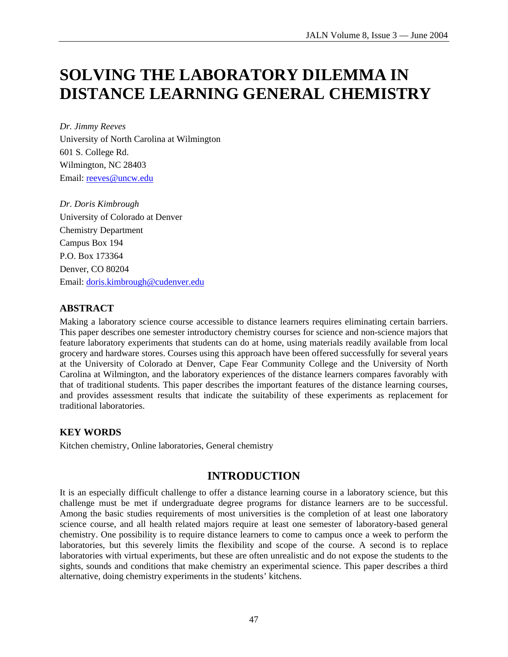# **SOLVING THE LABORATORY DILEMMA IN DISTANCE LEARNING GENERAL CHEMISTRY**

*Dr. Jimmy Reeves* University of North Carolina at Wilmington 601 S. College Rd. Wilmington, NC 28403 Email: reeves@uncw.edu

*Dr. Doris Kimbrough*  University of Colorado at Denver Chemistry Department Campus Box 194 P.O. Box 173364 Denver, CO 80204 Email: doris.kimbrough@cudenver.edu

## **ABSTRACT**

Making a laboratory science course accessible to distance learners requires eliminating certain barriers. This paper describes one semester introductory chemistry courses for science and non-science majors that feature laboratory experiments that students can do at home, using materials readily available from local grocery and hardware stores. Courses using this approach have been offered successfully for several years at the University of Colorado at Denver, Cape Fear Community College and the University of North Carolina at Wilmington, and the laboratory experiences of the distance learners compares favorably with that of traditional students. This paper describes the important features of the distance learning courses, and provides assessment results that indicate the suitability of these experiments as replacement for traditional laboratories.

### **KEY WORDS**

Kitchen chemistry, Online laboratories, General chemistry

# **INTRODUCTION**

It is an especially difficult challenge to offer a distance learning course in a laboratory science, but this challenge must be met if undergraduate degree programs for distance learners are to be successful. Among the basic studies requirements of most universities is the completion of at least one laboratory science course, and all health related majors require at least one semester of laboratory-based general chemistry. One possibility is to require distance learners to come to campus once a week to perform the laboratories, but this severely limits the flexibility and scope of the course. A second is to replace laboratories with virtual experiments, but these are often unrealistic and do not expose the students to the sights, sounds and conditions that make chemistry an experimental science. This paper describes a third alternative, doing chemistry experiments in the students' kitchens.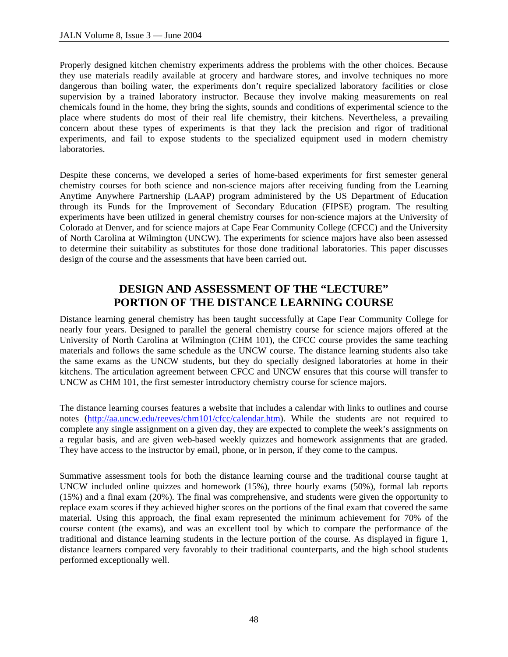Properly designed kitchen chemistry experiments address the problems with the other choices. Because they use materials readily available at grocery and hardware stores, and involve techniques no more dangerous than boiling water, the experiments don't require specialized laboratory facilities or close supervision by a trained laboratory instructor. Because they involve making measurements on real chemicals found in the home, they bring the sights, sounds and conditions of experimental science to the place where students do most of their real life chemistry, their kitchens. Nevertheless, a prevailing concern about these types of experiments is that they lack the precision and rigor of traditional experiments, and fail to expose students to the specialized equipment used in modern chemistry laboratories.

Despite these concerns, we developed a series of home-based experiments for first semester general chemistry courses for both science and non-science majors after receiving funding from the Learning Anytime Anywhere Partnership (LAAP) program administered by the US Department of Education through its Funds for the Improvement of Secondary Education (FIPSE) program. The resulting experiments have been utilized in general chemistry courses for non-science majors at the University of Colorado at Denver, and for science majors at Cape Fear Community College (CFCC) and the University of North Carolina at Wilmington (UNCW). The experiments for science majors have also been assessed to determine their suitability as substitutes for those done traditional laboratories. This paper discusses design of the course and the assessments that have been carried out.

# **DESIGN AND ASSESSMENT OF THE "LECTURE" PORTION OF THE DISTANCE LEARNING COURSE**

Distance learning general chemistry has been taught successfully at Cape Fear Community College for nearly four years. Designed to parallel the general chemistry course for science majors offered at the University of North Carolina at Wilmington (CHM 101), the CFCC course provides the same teaching materials and follows the same schedule as the UNCW course. The distance learning students also take the same exams as the UNCW students, but they do specially designed laboratories at home in their kitchens. The articulation agreement between CFCC and UNCW ensures that this course will transfer to UNCW as CHM 101, the first semester introductory chemistry course for science majors.

The distance learning courses features a website that includes a calendar with links to outlines and course notes (http://aa.uncw.edu/reeves/chm101/cfcc/calendar.htm). While the students are not required to complete any single assignment on a given day, they are expected to complete the week's assignments on a regular basis, and are given web-based weekly quizzes and homework assignments that are graded. They have access to the instructor by email, phone, or in person, if they come to the campus.

Summative assessment tools for both the distance learning course and the traditional course taught at UNCW included online quizzes and homework (15%), three hourly exams (50%), formal lab reports (15%) and a final exam (20%). The final was comprehensive, and students were given the opportunity to replace exam scores if they achieved higher scores on the portions of the final exam that covered the same material. Using this approach, the final exam represented the minimum achievement for 70% of the course content (the exams), and was an excellent tool by which to compare the performance of the traditional and distance learning students in the lecture portion of the course. As displayed in figure 1, distance learners compared very favorably to their traditional counterparts, and the high school students performed exceptionally well.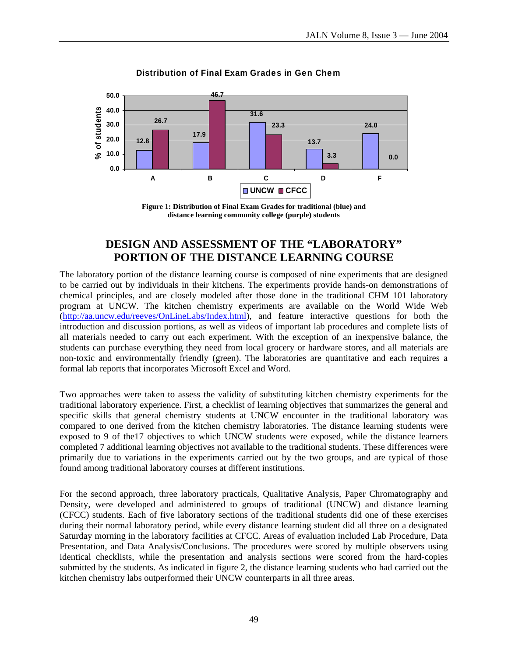

#### **Distribution of Final Exam Grades in Gen Chem**

## **DESIGN AND ASSESSMENT OF THE "LABORATORY" PORTION OF THE DISTANCE LEARNING COURSE**

The laboratory portion of the distance learning course is composed of nine experiments that are designed to be carried out by individuals in their kitchens. The experiments provide hands-on demonstrations of chemical principles, and are closely modeled after those done in the traditional CHM 101 laboratory program at UNCW. The kitchen chemistry experiments are available on the World Wide Web (http://aa.uncw.edu/reeves/OnLineLabs/Index.html), and feature interactive questions for both the introduction and discussion portions, as well as videos of important lab procedures and complete lists of all materials needed to carry out each experiment. With the exception of an inexpensive balance, the students can purchase everything they need from local grocery or hardware stores, and all materials are non-toxic and environmentally friendly (green). The laboratories are quantitative and each requires a formal lab reports that incorporates Microsoft Excel and Word.

Two approaches were taken to assess the validity of substituting kitchen chemistry experiments for the traditional laboratory experience. First, a checklist of learning objectives that summarizes the general and specific skills that general chemistry students at UNCW encounter in the traditional laboratory was compared to one derived from the kitchen chemistry laboratories. The distance learning students were exposed to 9 of the17 objectives to which UNCW students were exposed, while the distance learners completed 7 additional learning objectives not available to the traditional students. These differences were primarily due to variations in the experiments carried out by the two groups, and are typical of those found among traditional laboratory courses at different institutions.

For the second approach, three laboratory practicals, Qualitative Analysis, Paper Chromatography and Density, were developed and administered to groups of traditional (UNCW) and distance learning (CFCC) students. Each of five laboratory sections of the traditional students did one of these exercises during their normal laboratory period, while every distance learning student did all three on a designated Saturday morning in the laboratory facilities at CFCC. Areas of evaluation included Lab Procedure, Data Presentation, and Data Analysis/Conclusions. The procedures were scored by multiple observers using identical checklists, while the presentation and analysis sections were scored from the hard-copies submitted by the students. As indicated in figure 2, the distance learning students who had carried out the kitchen chemistry labs outperformed their UNCW counterparts in all three areas.

**Figure 1: Distribution of Final Exam Grades for traditional (blue) and distance learning community college (purple) students**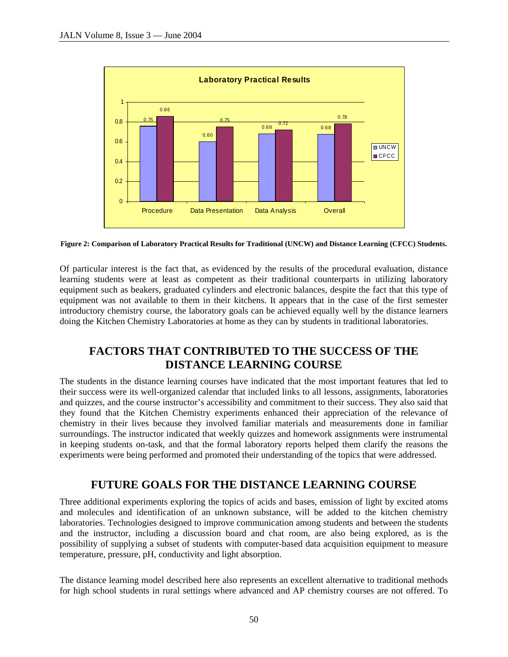

**Figure 2: Comparison of Laboratory Practical Results for Traditional (UNCW) and Distance Learning (CFCC) Students.**

Of particular interest is the fact that, as evidenced by the results of the procedural evaluation, distance learning students were at least as competent as their traditional counterparts in utilizing laboratory equipment such as beakers, graduated cylinders and electronic balances, despite the fact that this type of equipment was not available to them in their kitchens. It appears that in the case of the first semester introductory chemistry course, the laboratory goals can be achieved equally well by the distance learners doing the Kitchen Chemistry Laboratories at home as they can by students in traditional laboratories.

# **FACTORS THAT CONTRIBUTED TO THE SUCCESS OF THE DISTANCE LEARNING COURSE**

The students in the distance learning courses have indicated that the most important features that led to their success were its well-organized calendar that included links to all lessons, assignments, laboratories and quizzes, and the course instructor's accessibility and commitment to their success. They also said that they found that the Kitchen Chemistry experiments enhanced their appreciation of the relevance of chemistry in their lives because they involved familiar materials and measurements done in familiar surroundings. The instructor indicated that weekly quizzes and homework assignments were instrumental in keeping students on-task, and that the formal laboratory reports helped them clarify the reasons the experiments were being performed and promoted their understanding of the topics that were addressed.

# **FUTURE GOALS FOR THE DISTANCE LEARNING COURSE**

Three additional experiments exploring the topics of acids and bases, emission of light by excited atoms and molecules and identification of an unknown substance, will be added to the kitchen chemistry laboratories. Technologies designed to improve communication among students and between the students and the instructor, including a discussion board and chat room, are also being explored, as is the possibility of supplying a subset of students with computer-based data acquisition equipment to measure temperature, pressure, pH, conductivity and light absorption.

The distance learning model described here also represents an excellent alternative to traditional methods for high school students in rural settings where advanced and AP chemistry courses are not offered. To